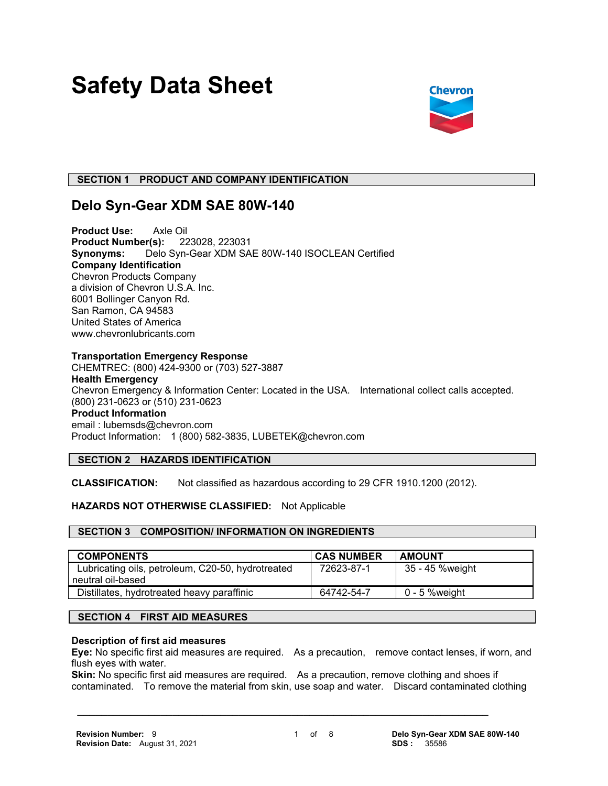# **Safety Data Sheet**



# **SECTION 1 PRODUCT AND COMPANY IDENTIFICATION**

# **Delo Syn-Gear XDM SAE 80W-140**

**Product Use:** Axle Oil **Product Number(s):** 223028, 223031 **Synonyms:** Delo Syn-Gear XDM SAE 80W-140 ISOCLEAN Certified **Company Identification** Chevron Products Company a division of Chevron U.S.A. Inc. 6001 Bollinger Canyon Rd. San Ramon, CA 94583 United States of America www.chevronlubricants.com

## **Transportation Emergency Response**

CHEMTREC: (800) 424-9300 or (703) 527-3887 **Health Emergency** Chevron Emergency & Information Center: Located in the USA. International collect calls accepted. (800) 231-0623 or (510) 231-0623 **Product Information** email : lubemsds@chevron.com Product Information: 1 (800) 582-3835, LUBETEK@chevron.com

# **SECTION 2 HAZARDS IDENTIFICATION**

**CLASSIFICATION:** Not classified as hazardous according to 29 CFR 1910.1200 (2012).

# **HAZARDS NOT OTHERWISE CLASSIFIED:** Not Applicable

#### **SECTION 3 COMPOSITION/ INFORMATION ON INGREDIENTS**

| <b>COMPONENTS</b>                                                      | <b>CAS NUMBER</b> | <b>AMOUNT</b>   |
|------------------------------------------------------------------------|-------------------|-----------------|
| Lubricating oils, petroleum, C20-50, hydrotreated<br>neutral oil-based | 72623-87-1        | 35 - 45 %weight |
| Distillates, hydrotreated heavy paraffinic                             | 64742-54-7        | 0 - 5 %weight   |

# **SECTION 4 FIRST AID MEASURES**

#### **Description of first aid measures**

**Eye:** No specific first aid measures are required. As a precaution, remove contact lenses, if worn, and flush eyes with water.

**Skin:** No specific first aid measures are required. As a precaution, remove clothing and shoes if contaminated. To remove the material from skin, use soap and water. Discard contaminated clothing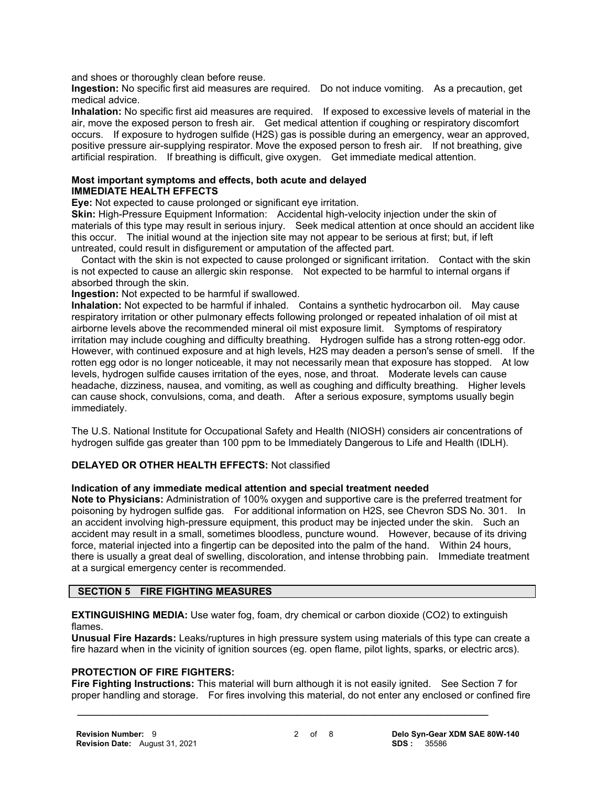and shoes or thoroughly clean before reuse.

**Ingestion:** No specific first aid measures are required. Do not induce vomiting. As a precaution, get medical advice.

**Inhalation:** No specific first aid measures are required. If exposed to excessive levels of material in the air, move the exposed person to fresh air. Get medical attention if coughing or respiratory discomfort occurs. If exposure to hydrogen sulfide (H2S) gas is possible during an emergency, wear an approved, positive pressure air-supplying respirator. Move the exposed person to fresh air. If not breathing, give artificial respiration. If breathing is difficult, give oxygen. Get immediate medical attention.

#### **Most important symptoms and effects, both acute and delayed IMMEDIATE HEALTH EFFECTS**

**Eye:** Not expected to cause prolonged or significant eye irritation.

**Skin:** High-Pressure Equipment Information: Accidental high-velocity injection under the skin of materials of this type may result in serious injury. Seek medical attention at once should an accident like this occur. The initial wound at the injection site may not appear to be serious at first; but, if left untreated, could result in disfigurement or amputation of the affected part.

 Contact with the skin is not expected to cause prolonged or significant irritation. Contact with the skin is not expected to cause an allergic skin response. Not expected to be harmful to internal organs if absorbed through the skin.

**Ingestion:** Not expected to be harmful if swallowed.

**Inhalation:** Not expected to be harmful if inhaled. Contains a synthetic hydrocarbon oil. May cause respiratory irritation or other pulmonary effects following prolonged or repeated inhalation of oil mist at airborne levels above the recommended mineral oil mist exposure limit. Symptoms of respiratory irritation may include coughing and difficulty breathing. Hydrogen sulfide has a strong rotten-egg odor. However, with continued exposure and at high levels, H2S may deaden a person's sense of smell. If the rotten egg odor is no longer noticeable, it may not necessarily mean that exposure has stopped. At low levels, hydrogen sulfide causes irritation of the eyes, nose, and throat. Moderate levels can cause headache, dizziness, nausea, and vomiting, as well as coughing and difficulty breathing. Higher levels can cause shock, convulsions, coma, and death. After a serious exposure, symptoms usually begin immediately.

The U.S. National Institute for Occupational Safety and Health (NIOSH) considers air concentrations of hydrogen sulfide gas greater than 100 ppm to be Immediately Dangerous to Life and Health (IDLH).

# **DELAYED OR OTHER HEALTH EFFECTS:** Not classified

#### **Indication of any immediate medical attention and special treatment needed**

**Note to Physicians:** Administration of 100% oxygen and supportive care is the preferred treatment for poisoning by hydrogen sulfide gas. For additional information on H2S, see Chevron SDS No. 301. In an accident involving high-pressure equipment, this product may be injected under the skin. Such an accident may result in a small, sometimes bloodless, puncture wound. However, because of its driving force, material injected into a fingertip can be deposited into the palm of the hand. Within 24 hours, there is usually a great deal of swelling, discoloration, and intense throbbing pain. Immediate treatment at a surgical emergency center is recommended.

#### **SECTION 5 FIRE FIGHTING MEASURES**

**EXTINGUISHING MEDIA:** Use water fog, foam, dry chemical or carbon dioxide (CO2) to extinguish flames.

**Unusual Fire Hazards:** Leaks/ruptures in high pressure system using materials of this type can create a fire hazard when in the vicinity of ignition sources (eg. open flame, pilot lights, sparks, or electric arcs).

# **PROTECTION OF FIRE FIGHTERS:**

**Fire Fighting Instructions:** This material will burn although it is not easily ignited. See Section 7 for proper handling and storage. For fires involving this material, do not enter any enclosed or confined fire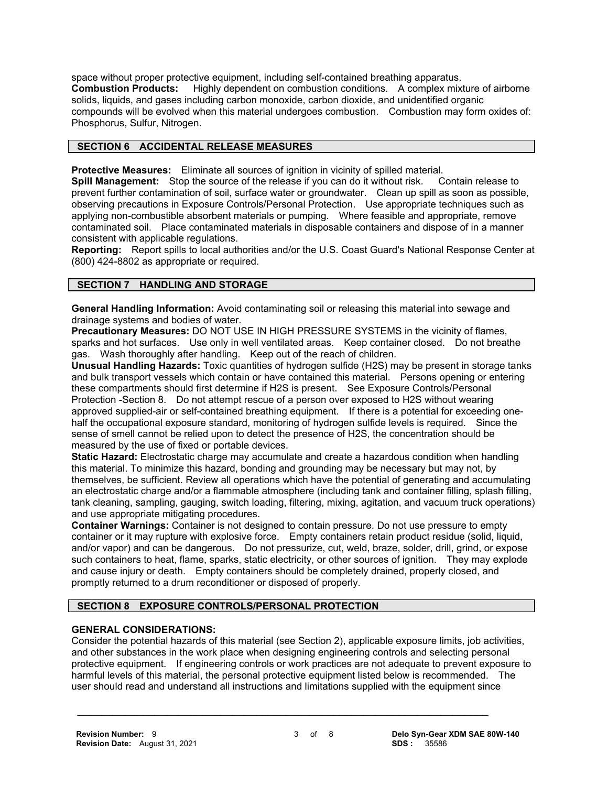space without proper protective equipment, including self-contained breathing apparatus. **Combustion Products:** Highly dependent on combustion conditions. A complex mixture of airborne solids, liquids, and gases including carbon monoxide, carbon dioxide, and unidentified organic compounds will be evolved when this material undergoes combustion. Combustion may form oxides of: Phosphorus, Sulfur, Nitrogen.

# **SECTION 6 ACCIDENTAL RELEASE MEASURES**

**Protective Measures:** Eliminate all sources of ignition in vicinity of spilled material.

**Spill Management:** Stop the source of the release if you can do it without risk. Contain release to prevent further contamination of soil, surface water or groundwater. Clean up spill as soon as possible, observing precautions in Exposure Controls/Personal Protection. Use appropriate techniques such as applying non-combustible absorbent materials or pumping. Where feasible and appropriate, remove contaminated soil. Place contaminated materials in disposable containers and dispose of in a manner consistent with applicable regulations.

**Reporting:** Report spills to local authorities and/or the U.S. Coast Guard's National Response Center at (800) 424-8802 as appropriate or required.

# **SECTION 7 HANDLING AND STORAGE**

**General Handling Information:** Avoid contaminating soil or releasing this material into sewage and drainage systems and bodies of water.

**Precautionary Measures:** DO NOT USE IN HIGH PRESSURE SYSTEMS in the vicinity of flames, sparks and hot surfaces. Use only in well ventilated areas. Keep container closed. Do not breathe gas. Wash thoroughly after handling. Keep out of the reach of children.

**Unusual Handling Hazards:** Toxic quantities of hydrogen sulfide (H2S) may be present in storage tanks and bulk transport vessels which contain or have contained this material. Persons opening or entering these compartments should first determine if H2S is present. See Exposure Controls/Personal Protection -Section 8. Do not attempt rescue of a person over exposed to H2S without wearing approved supplied-air or self-contained breathing equipment. If there is a potential for exceeding onehalf the occupational exposure standard, monitoring of hydrogen sulfide levels is required. Since the sense of smell cannot be relied upon to detect the presence of H2S, the concentration should be measured by the use of fixed or portable devices.

**Static Hazard:** Electrostatic charge may accumulate and create a hazardous condition when handling this material. To minimize this hazard, bonding and grounding may be necessary but may not, by themselves, be sufficient. Review all operations which have the potential of generating and accumulating an electrostatic charge and/or a flammable atmosphere (including tank and container filling, splash filling, tank cleaning, sampling, gauging, switch loading, filtering, mixing, agitation, and vacuum truck operations) and use appropriate mitigating procedures.

**Container Warnings:** Container is not designed to contain pressure. Do not use pressure to empty container or it may rupture with explosive force. Empty containers retain product residue (solid, liquid, and/or vapor) and can be dangerous. Do not pressurize, cut, weld, braze, solder, drill, grind, or expose such containers to heat, flame, sparks, static electricity, or other sources of ignition. They may explode and cause injury or death. Empty containers should be completely drained, properly closed, and promptly returned to a drum reconditioner or disposed of properly.

# **SECTION 8 EXPOSURE CONTROLS/PERSONAL PROTECTION**

# **GENERAL CONSIDERATIONS:**

Consider the potential hazards of this material (see Section 2), applicable exposure limits, job activities, and other substances in the work place when designing engineering controls and selecting personal protective equipment. If engineering controls or work practices are not adequate to prevent exposure to harmful levels of this material, the personal protective equipment listed below is recommended. The user should read and understand all instructions and limitations supplied with the equipment since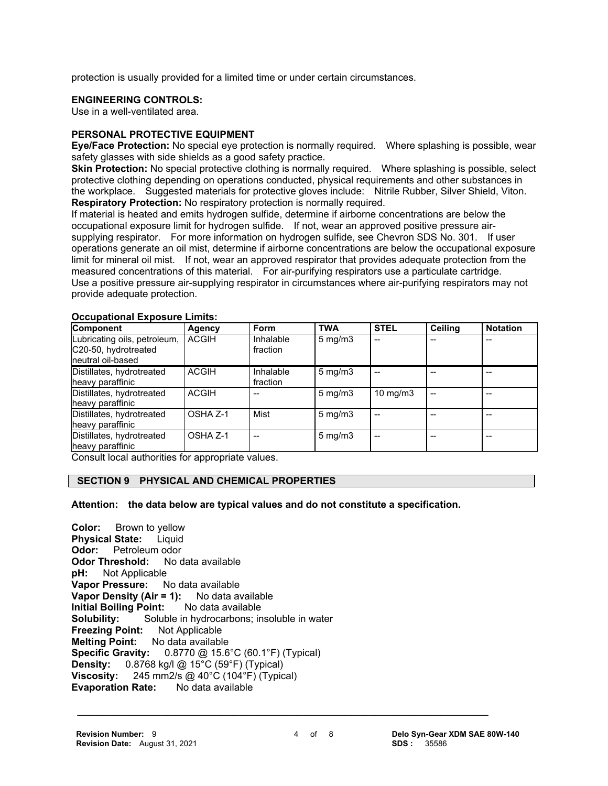protection is usually provided for a limited time or under certain circumstances.

# **ENGINEERING CONTROLS:**

Use in a well-ventilated area.

# **PERSONAL PROTECTIVE EQUIPMENT**

**Eye/Face Protection:** No special eye protection is normally required. Where splashing is possible, wear safety glasses with side shields as a good safety practice.

**Skin Protection:** No special protective clothing is normally required. Where splashing is possible, select protective clothing depending on operations conducted, physical requirements and other substances in the workplace. Suggested materials for protective gloves include: Nitrile Rubber, Silver Shield, Viton. **Respiratory Protection:** No respiratory protection is normally required.

If material is heated and emits hydrogen sulfide, determine if airborne concentrations are below the occupational exposure limit for hydrogen sulfide. If not, wear an approved positive pressure airsupplying respirator. For more information on hydrogen sulfide, see Chevron SDS No. 301. If user operations generate an oil mist, determine if airborne concentrations are below the occupational exposure limit for mineral oil mist. If not, wear an approved respirator that provides adequate protection from the measured concentrations of this material. For air-purifying respirators use a particulate cartridge. Use a positive pressure air-supplying respirator in circumstances where air-purifying respirators may not provide adequate protection.

| <u>ooduputionui Expoduit Ennitoi</u><br><b>Component</b>                  | Agency       | <b>Form</b>           | <b>TWA</b>         | <b>STEL</b>       | <b>Ceiling</b> | <b>Notation</b> |
|---------------------------------------------------------------------------|--------------|-----------------------|--------------------|-------------------|----------------|-----------------|
| Lubricating oils, petroleum,<br>C20-50, hydrotreated<br>neutral oil-based | <b>ACGIH</b> | Inhalable<br>fraction | $5 \text{ mg/m}$ 3 |                   |                |                 |
| Distillates, hydrotreated<br>heavy paraffinic                             | <b>ACGIH</b> | Inhalable<br>fraction | $5 \text{ mg/m}$   |                   |                |                 |
| Distillates, hydrotreated<br>heavy paraffinic                             | <b>ACGIH</b> |                       | $5 \text{ mg/m}$   | $10 \text{ mg/m}$ |                |                 |
| Distillates, hydrotreated<br>heavy paraffinic                             | OSHA Z-1     | Mist                  | $5 \text{ mg/m}$   |                   |                |                 |
| Distillates, hydrotreated<br>heavy paraffinic                             | OSHA Z-1     | $-$                   | $5 \text{ mg/m}$   |                   |                |                 |

#### **Occupational Exposure Limits:**

Consult local authorities for appropriate values.

# **SECTION 9 PHYSICAL AND CHEMICAL PROPERTIES**

#### **Attention: the data below are typical values and do not constitute a specification.**

**Color:** Brown to yellow **Physical State:** Liquid **Odor:** Petroleum odor **Odor Threshold:** No data available **pH:** Not Applicable **Vapor Pressure:** No data available **Vapor Density (Air = 1):** No data available **Initial Boiling Point:** No data available **Solubility:** Soluble in hydrocarbons; insoluble in water **Freezing Point:** Not Applicable **Melting Point:** No data available **Specific Gravity:** 0.8770 @ 15.6°C (60.1°F) (Typical) **Density:** 0.8768 kg/l @ 15°C (59°F) (Typical) **Viscosity:** 245 mm2/s @ 40°C (104°F) (Typical)<br>**Evaporation Rate:** No data available **Evaporation Rate:**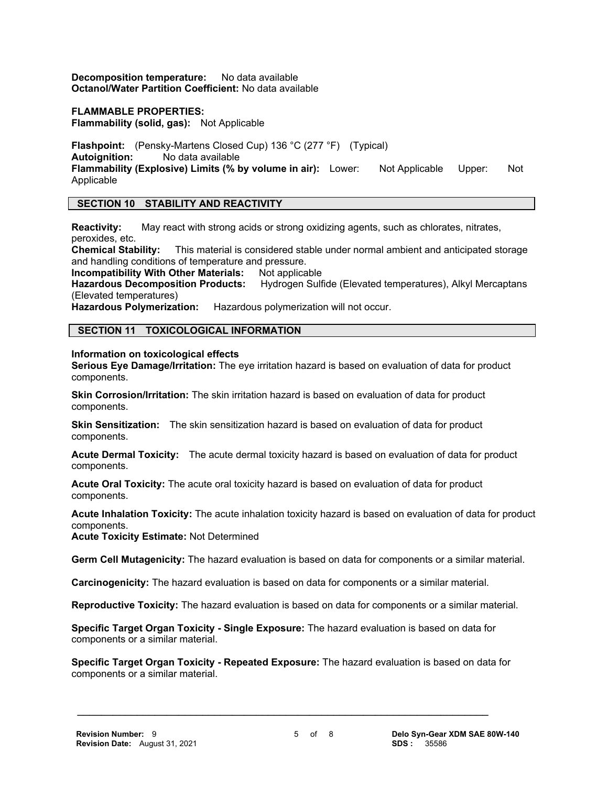**Decomposition temperature:** No data available **Octanol/Water Partition Coefficient:** No data available

## **FLAMMABLE PROPERTIES:**

**Flammability (solid, gas):** Not Applicable

**Flashpoint:** (Pensky-Martens Closed Cup) 136 °C (277 °F) (Typical) **Autoignition:** No data available **Flammability (Explosive) Limits (% by volume in air):** Lower: Not Applicable Upper: Not Applicable

## **SECTION 10 STABILITY AND REACTIVITY**

**Reactivity:** May react with strong acids or strong oxidizing agents, such as chlorates, nitrates, peroxides, etc.

**Chemical Stability:** This material is considered stable under normal ambient and anticipated storage and handling conditions of temperature and pressure.

**Incompatibility With Other Materials: Not applicable** 

**Hazardous Decomposition Products:** Hydrogen Sulfide (Elevated temperatures), Alkyl Mercaptans (Elevated temperatures)

**Hazardous Polymerization:** Hazardous polymerization will not occur.

## **SECTION 11 TOXICOLOGICAL INFORMATION**

**Information on toxicological effects**

**Serious Eye Damage/Irritation:** The eye irritation hazard is based on evaluation of data for product components.

**Skin Corrosion/Irritation:** The skin irritation hazard is based on evaluation of data for product components.

**Skin Sensitization:** The skin sensitization hazard is based on evaluation of data for product components.

**Acute Dermal Toxicity:** The acute dermal toxicity hazard is based on evaluation of data for product components.

**Acute Oral Toxicity:** The acute oral toxicity hazard is based on evaluation of data for product components.

**Acute Inhalation Toxicity:** The acute inhalation toxicity hazard is based on evaluation of data for product components.

**Acute Toxicity Estimate:** Not Determined

**Germ Cell Mutagenicity:** The hazard evaluation is based on data for components or a similar material.

**Carcinogenicity:** The hazard evaluation is based on data for components or a similar material.

**Reproductive Toxicity:** The hazard evaluation is based on data for components or a similar material.

**Specific Target Organ Toxicity - Single Exposure:** The hazard evaluation is based on data for components or a similar material.

 **\_\_\_\_\_\_\_\_\_\_\_\_\_\_\_\_\_\_\_\_\_\_\_\_\_\_\_\_\_\_\_\_\_\_\_\_\_\_\_\_\_\_\_\_\_\_\_\_\_\_\_\_\_\_\_\_\_\_\_\_\_\_\_\_\_\_\_\_\_**

**Specific Target Organ Toxicity - Repeated Exposure:** The hazard evaluation is based on data for components or a similar material.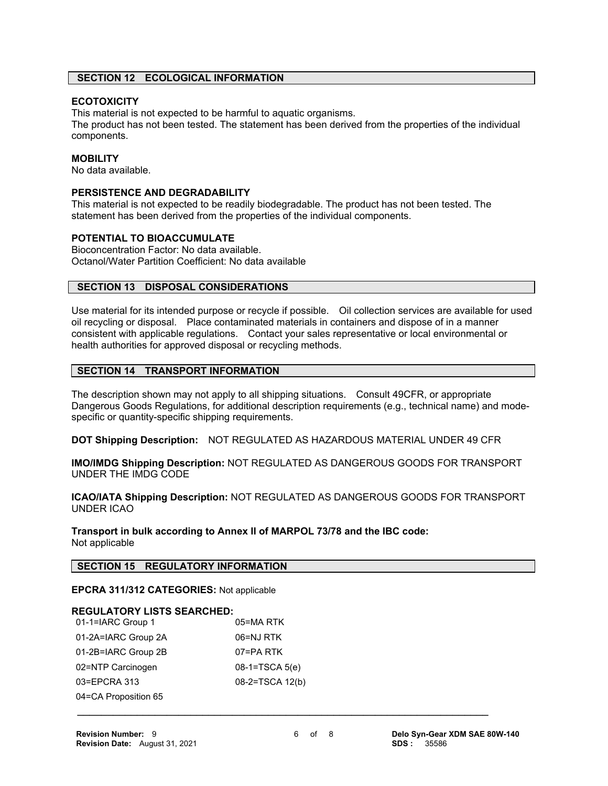# **SECTION 12 ECOLOGICAL INFORMATION**

#### **ECOTOXICITY**

This material is not expected to be harmful to aquatic organisms.

The product has not been tested. The statement has been derived from the properties of the individual components.

## **MOBILITY**

No data available.

#### **PERSISTENCE AND DEGRADABILITY**

This material is not expected to be readily biodegradable. The product has not been tested. The statement has been derived from the properties of the individual components.

#### **POTENTIAL TO BIOACCUMULATE**

Bioconcentration Factor: No data available. Octanol/Water Partition Coefficient: No data available

## **SECTION 13 DISPOSAL CONSIDERATIONS**

Use material for its intended purpose or recycle if possible. Oil collection services are available for used oil recycling or disposal. Place contaminated materials in containers and dispose of in a manner consistent with applicable regulations. Contact your sales representative or local environmental or health authorities for approved disposal or recycling methods.

# **SECTION 14 TRANSPORT INFORMATION**

The description shown may not apply to all shipping situations. Consult 49CFR, or appropriate Dangerous Goods Regulations, for additional description requirements (e.g., technical name) and modespecific or quantity-specific shipping requirements.

**DOT Shipping Description:** NOT REGULATED AS HAZARDOUS MATERIAL UNDER 49 CFR

**IMO/IMDG Shipping Description:** NOT REGULATED AS DANGEROUS GOODS FOR TRANSPORT UNDER THE IMDG CODE

**ICAO/IATA Shipping Description:** NOT REGULATED AS DANGEROUS GOODS FOR TRANSPORT UNDER ICAO

**Transport in bulk according to Annex II of MARPOL 73/78 and the IBC code:** Not applicable

#### **SECTION 15 REGULATORY INFORMATION**

**EPCRA 311/312 CATEGORIES:** Not applicable

#### **REGULATORY LISTS SEARCHED:**

| 01-1=IARC Group 1    | 05=MARTK        |
|----------------------|-----------------|
| 01-2A=IARC Group 2A  | 06=NJ RTK       |
| 01-2B=IARC Group 2B  | 07=PA RTK       |
| 02=NTP Carcinogen    | 08-1=TSCA 5(e)  |
| 03=EPCRA 313         | 08-2=TSCA 12(b) |
| 04=CA Proposition 65 |                 |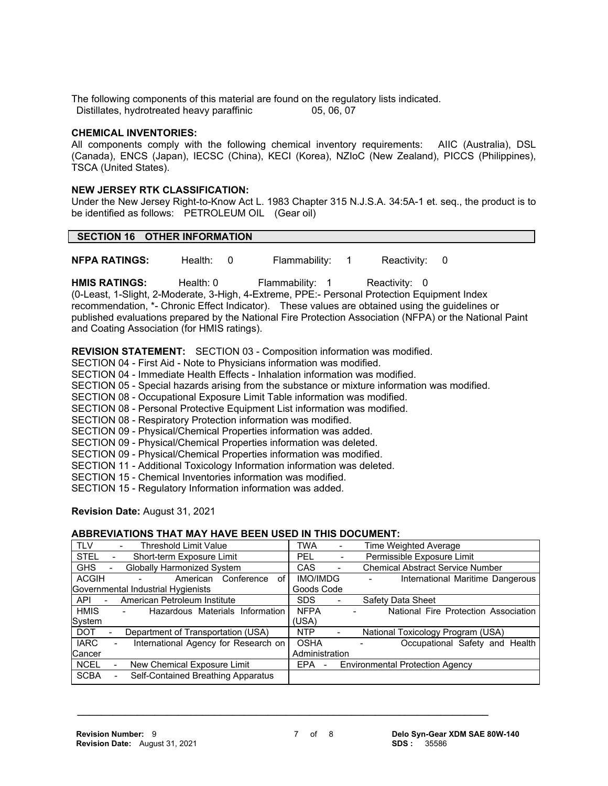The following components of this material are found on the regulatory lists indicated. Distillates, hydrotreated heavy paraffinic 05, 06, 07

#### **CHEMICAL INVENTORIES:**

All components comply with the following chemical inventory requirements: AIIC (Australia), DSL (Canada), ENCS (Japan), IECSC (China), KECI (Korea), NZIoC (New Zealand), PICCS (Philippines), TSCA (United States).

#### **NEW JERSEY RTK CLASSIFICATION:**

Under the New Jersey Right-to-Know Act L. 1983 Chapter 315 N.J.S.A. 34:5A-1 et. seq., the product is to be identified as follows: PETROLEUM OIL (Gear oil)

## **SECTION 16 OTHER INFORMATION**

**NFPA RATINGS:** Health: 0 Flammability: 1 Reactivity: 0

HMIS RATINGS: Health: 0 Flammability: 1 Reactivity: 0

(0-Least, 1-Slight, 2-Moderate, 3-High, 4-Extreme, PPE:- Personal Protection Equipment Index recommendation, \*- Chronic Effect Indicator). These values are obtained using the guidelines or published evaluations prepared by the National Fire Protection Association (NFPA) or the National Paint and Coating Association (for HMIS ratings).

**REVISION STATEMENT:** SECTION 03 - Composition information was modified.

- SECTION 04 First Aid Note to Physicians information was modified.
- SECTION 04 Immediate Health Effects Inhalation information was modified.
- SECTION 05 Special hazards arising from the substance or mixture information was modified.
- SECTION 08 Occupational Exposure Limit Table information was modified.
- SECTION 08 Personal Protective Equipment List information was modified.
- SECTION 08 Respiratory Protection information was modified.
- SECTION 09 Physical/Chemical Properties information was added.
- SECTION 09 Physical/Chemical Properties information was deleted.
- SECTION 09 Physical/Chemical Properties information was modified.
- SECTION 11 Additional Toxicology Information information was deleted.
- SECTION 15 Chemical Inventories information was modified.

SECTION 15 - Regulatory Information information was added.

#### **Revision Date:** August 31, 2021

#### **ABBREVIATIONS THAT MAY HAVE BEEN USED IN THIS DOCUMENT:**

| <b>TLV</b><br><b>Threshold Limit Value</b>                                  |                  | TWA            |                          | Time Weighted Average                   |  |
|-----------------------------------------------------------------------------|------------------|----------------|--------------------------|-----------------------------------------|--|
| <b>STEL</b><br>Short-term Exposure Limit                                    |                  | PEL.           | $\overline{\phantom{0}}$ | Permissible Exposure Limit              |  |
| <b>GHS</b><br><b>Globally Harmonized System</b><br>$\overline{\phantom{a}}$ |                  | <b>CAS</b>     | $\overline{\phantom{a}}$ | <b>Chemical Abstract Service Number</b> |  |
| <b>ACGIH</b><br>American                                                    | Conference<br>of | IMO/IMDG       |                          | International Maritime Dangerous        |  |
| Governmental Industrial Hygienists                                          |                  | Goods Code     |                          |                                         |  |
| American Petroleum Institute<br>API<br>$\sim$                               |                  | SDS.           |                          | Safety Data Sheet                       |  |
| <b>HMIS</b><br>Hazardous Materials Information<br>$\overline{\phantom{a}}$  |                  | <b>NFPA</b>    |                          | National Fire Protection Association    |  |
| System                                                                      |                  | (USA)          |                          |                                         |  |
| Department of Transportation (USA)<br><b>DOT</b><br>٠                       |                  | <b>NTP</b>     | $\overline{\phantom{a}}$ | National Toxicology Program (USA)       |  |
| <b>IARC</b><br>International Agency for Research on<br>$\blacksquare$       |                  | <b>OSHA</b>    |                          | Occupational Safety and Health          |  |
| Cancer                                                                      |                  | Administration |                          |                                         |  |
| <b>NCEL</b><br>New Chemical Exposure Limit                                  |                  | EPA            | $\overline{\phantom{a}}$ | <b>Environmental Protection Agency</b>  |  |
| Self-Contained Breathing Apparatus<br><b>SCBA</b>                           |                  |                |                          |                                         |  |